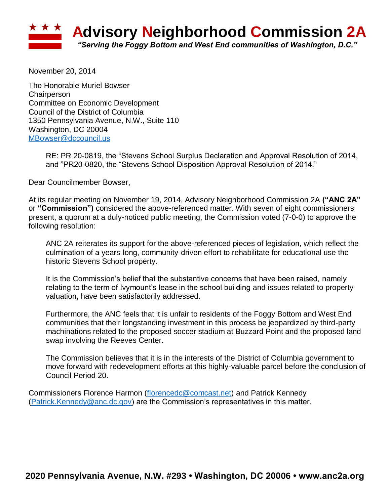

November 20, 2014

The Honorable Muriel Bowser **Chairperson** Committee on Economic Development Council of the District of Columbia 1350 Pennsylvania Avenue, N.W., Suite 110 Washington, DC 20004 [MBowser@dccouncil.us](mailto:MBowser@dccouncil.us)

> RE: PR 20-0819, the "Stevens School Surplus Declaration and Approval Resolution of 2014, and "PR20-0820, the "Stevens School Disposition Approval Resolution of 2014."

Dear Councilmember Bowser,

At its regular meeting on November 19, 2014, Advisory Neighborhood Commission 2A **("ANC 2A"**  or **"Commission")** considered the above-referenced matter. With seven of eight commissioners present, a quorum at a duly-noticed public meeting, the Commission voted (7-0-0) to approve the following resolution:

ANC 2A reiterates its support for the above-referenced pieces of legislation, which reflect the culmination of a years-long, community-driven effort to rehabilitate for educational use the historic Stevens School property.

It is the Commission's belief that the substantive concerns that have been raised, namely relating to the term of Ivymount's lease in the school building and issues related to property valuation, have been satisfactorily addressed.

Furthermore, the ANC feels that it is unfair to residents of the Foggy Bottom and West End communities that their longstanding investment in this process be jeopardized by third-party machinations related to the proposed soccer stadium at Buzzard Point and the proposed land swap involving the Reeves Center.

The Commission believes that it is in the interests of the District of Columbia government to move forward with redevelopment efforts at this highly-valuable parcel before the conclusion of Council Period 20.

Commissioners Florence Harmon [\(florencedc@comcast.net\)](mailto:florencedc@comcast.net) and Patrick Kennedy [\(Patrick.Kennedy@anc.dc.gov\)](mailto:Patrick.Kennedy@anc.dc.gov) are the Commission's representatives in this matter.